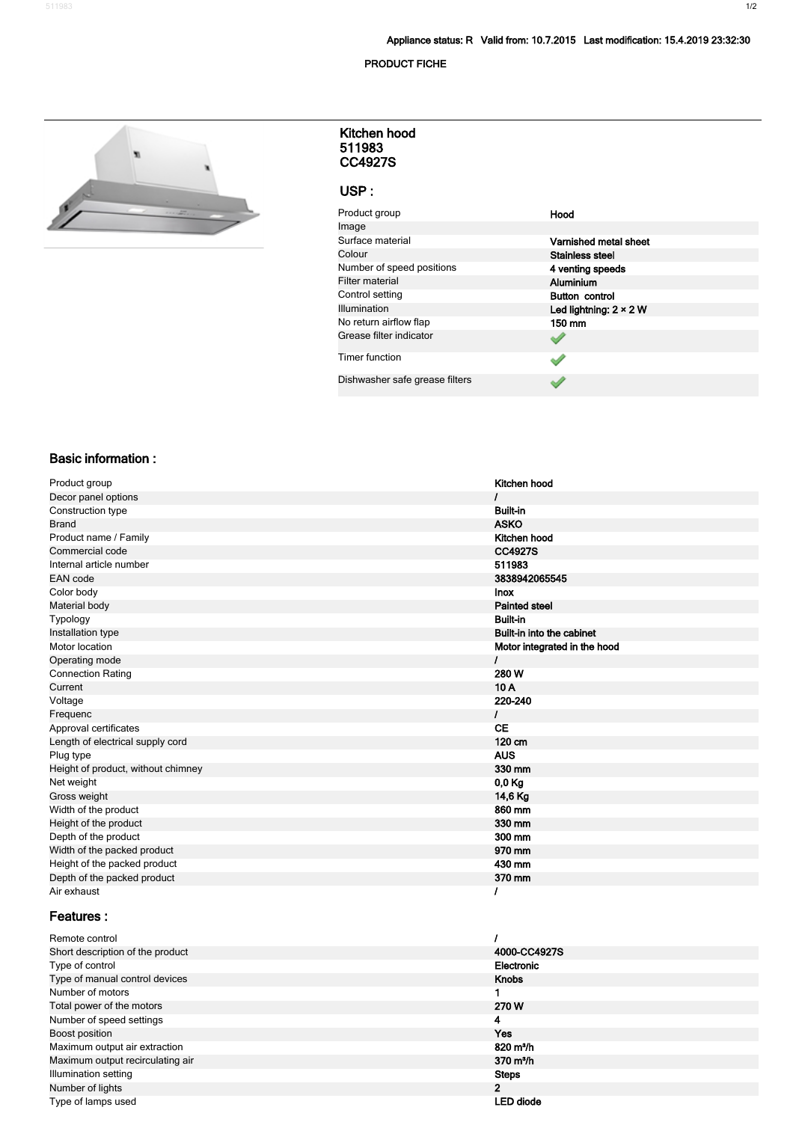#### **PRODUCT FICHE**



#### **511983 CC4927S Kitchen hood**

#### **USP :**

| Product group                  | Hood                          |
|--------------------------------|-------------------------------|
| Image                          |                               |
| Surface material               | Varnished metal sheet         |
| Colour                         | <b>Stainless steel</b>        |
| Number of speed positions      | 4 venting speeds              |
| <b>Filter material</b>         | <b>Aluminium</b>              |
| Control setting                | <b>Button control</b>         |
| Illumination                   | Led lightning: $2 \times 2$ W |
| No return airflow flap         | 150 mm                        |
| Grease filter indicator        |                               |
| <b>Timer function</b>          |                               |
| Dishwasher safe grease filters |                               |

## **Basic information :**

| Product group                      | Kitchen hood                 |
|------------------------------------|------------------------------|
| Decor panel options                |                              |
| Construction type                  | <b>Built-in</b>              |
| <b>Brand</b>                       | <b>ASKO</b>                  |
| Product name / Family              | Kitchen hood                 |
| Commercial code                    | <b>CC4927S</b>               |
| Internal article number            | 511983                       |
| <b>EAN</b> code                    | 3838942065545                |
| Color body                         | <b>Inox</b>                  |
| Material body                      | <b>Painted steel</b>         |
| Typology                           | <b>Built-in</b>              |
| Installation type                  | Built-in into the cabinet    |
| Motor location                     | Motor integrated in the hood |
| Operating mode                     | I                            |
| <b>Connection Rating</b>           | 280W                         |
| Current                            | 10A                          |
| Voltage                            | 220-240                      |
| Frequenc                           | L                            |
| Approval certificates              | <b>CE</b>                    |
| Length of electrical supply cord   | 120 cm                       |
| Plug type                          | <b>AUS</b>                   |
| Height of product, without chimney | 330 mm                       |
| Net weight                         | 0,0 Kg                       |
| Gross weight                       | 14,6 Kg                      |
| Width of the product               | 860 mm                       |
| Height of the product              | 330 mm                       |
| Depth of the product               | 300 mm                       |
| Width of the packed product        | 970 mm                       |
| Height of the packed product       | 430 mm                       |
| Depth of the packed product        | 370 mm                       |
| Air exhaust                        |                              |

## **Features :**

| Remote control                   |                     |
|----------------------------------|---------------------|
| Short description of the product | 4000-CC4927S        |
| Type of control                  | Electronic          |
| Type of manual control devices   | <b>Knobs</b>        |
| Number of motors                 |                     |
| Total power of the motors        | 270 W               |
| Number of speed settings         | 4                   |
| Boost position                   | Yes                 |
| Maximum output air extraction    | $820 \text{ m}^3/h$ |
| Maximum output recirculating air | $370 \text{ m}^3/h$ |
| Illumination setting             | <b>Steps</b>        |
| Number of lights                 | $\overline{2}$      |
| Type of lamps used               | LED diode           |